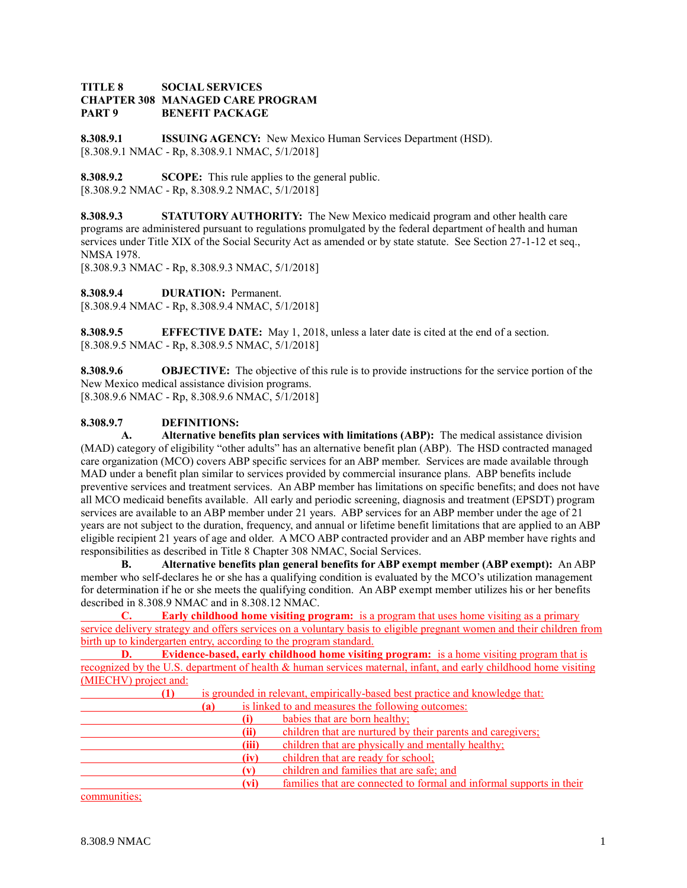### **TITLE 8 SOCIAL SERVICES CHAPTER 308 MANAGED CARE PROGRAM PART 9 BENEFIT PACKAGE**

**8.308.9.1 ISSUING AGENCY:** New Mexico Human Services Department (HSD). [8.308.9.1 NMAC - Rp, 8.308.9.1 NMAC, 5/1/2018]

**8.308.9.2 SCOPE:** This rule applies to the general public. [8.308.9.2 NMAC - Rp, 8.308.9.2 NMAC, 5/1/2018]

**8.308.9.3 STATUTORY AUTHORITY:** The New Mexico medicaid program and other health care programs are administered pursuant to regulations promulgated by the federal department of health and human services under Title XIX of the Social Security Act as amended or by state statute. See Section 27-1-12 et seq., NMSA 1978.

[8.308.9.3 NMAC - Rp, 8.308.9.3 NMAC, 5/1/2018]

**8.308.9.4 DURATION:** Permanent. [8.308.9.4 NMAC - Rp, 8.308.9.4 NMAC, 5/1/2018]

**8.308.9.5 EFFECTIVE DATE:** May 1, 2018, unless a later date is cited at the end of a section. [8.308.9.5 NMAC - Rp, 8.308.9.5 NMAC, 5/1/2018]

**8.308.9.6 OBJECTIVE:** The objective of this rule is to provide instructions for the service portion of the New Mexico medical assistance division programs. [8.308.9.6 NMAC - Rp, 8.308.9.6 NMAC, 5/1/2018]

# **8.308.9.7 DEFINITIONS:**

**A. Alternative benefits plan services with limitations (ABP):** The medical assistance division (MAD) category of eligibility "other adults" has an alternative benefit plan (ABP). The HSD contracted managed care organization (MCO) covers ABP specific services for an ABP member. Services are made available through MAD under a benefit plan similar to services provided by commercial insurance plans. ABP benefits include preventive services and treatment services. An ABP member has limitations on specific benefits; and does not have all MCO medicaid benefits available. All early and periodic screening, diagnosis and treatment (EPSDT) program services are available to an ABP member under 21 years. ABP services for an ABP member under the age of 21 years are not subject to the duration, frequency, and annual or lifetime benefit limitations that are applied to an ABP eligible recipient 21 years of age and older. A MCO ABP contracted provider and an ABP member have rights and responsibilities as described in Title 8 Chapter 308 NMAC, Social Services.

**B. Alternative benefits plan general benefits for ABP exempt member (ABP exempt):** An ABP member who self-declares he or she has a qualifying condition is evaluated by the MCO's utilization management for determination if he or she meets the qualifying condition. An ABP exempt member utilizes his or her benefits described in 8.308.9 NMAC and in 8.308.12 NMAC.

**C. Early childhood home visiting program:** is a program that uses home visiting as a primary service delivery strategy and offers services on a voluntary basis to eligible pregnant women and their children from birth up to kindergarten entry, according to the program standard.

**D. Evidence-based, early childhood home visiting program:** is a home visiting program that is recognized by the U.S. department of health & human services maternal, infant, and early childhood home visiting (MIECHV) project and:

| $\mathbf{u}$ |          | is grounded in relevant, empirically-based best practice and knowledge that: |
|--------------|----------|------------------------------------------------------------------------------|
|              | (a)      | is linked to and measures the following outcomes:                            |
|              | $\bf(i)$ | babies that are born healthy;                                                |
|              | (ii)     | children that are nurtured by their parents and caregivers;                  |
|              | (iii)    | children that are physically and mentally healthy;                           |
|              | (iv)     | children that are ready for school;                                          |
|              | (v)      | children and families that are safe; and                                     |
|              | (vi)     | families that are connected to formal and informal supports in their         |

communities;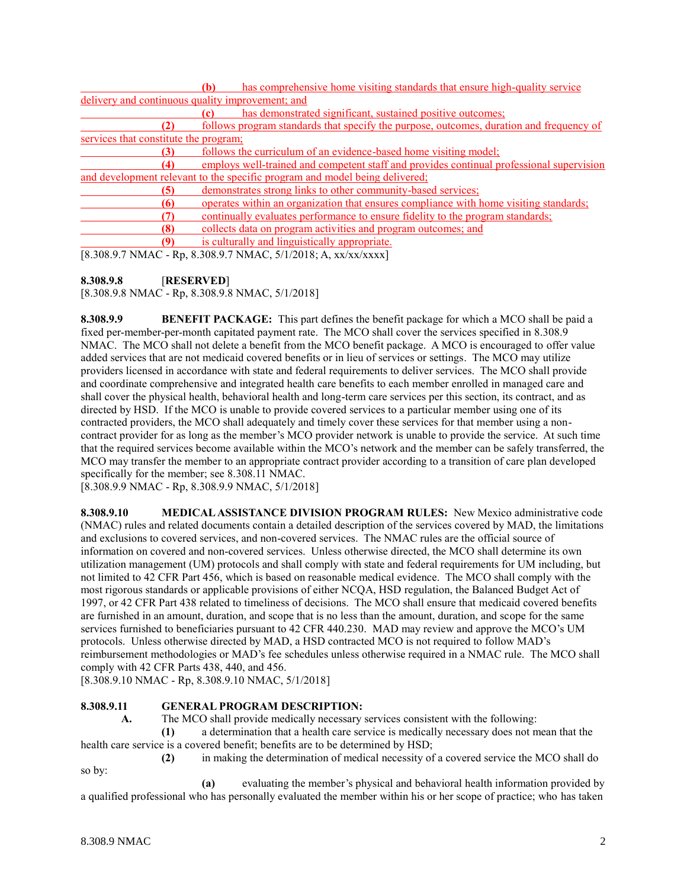|                                                  | (b)                                                           | has comprehensive home visiting standards that ensure high-quality service               |
|--------------------------------------------------|---------------------------------------------------------------|------------------------------------------------------------------------------------------|
| delivery and continuous quality improvement; and |                                                               |                                                                                          |
|                                                  |                                                               | has demonstrated significant, sustained positive outcomes;                               |
| '21                                              |                                                               | follows program standards that specify the purpose, outcomes, duration and frequency of  |
| services that constitute the program;            |                                                               |                                                                                          |
|                                                  |                                                               | follows the curriculum of an evidence-based home visiting model;                         |
| (4)                                              |                                                               | employs well-trained and competent staff and provides continual professional supervision |
|                                                  |                                                               | and development relevant to the specific program and model being delivered;              |
| (5)                                              |                                                               | demonstrates strong links to other community-based services;                             |
| (6)                                              |                                                               | operates within an organization that ensures compliance with home visiting standards;    |
| 71                                               |                                                               | continually evaluates performance to ensure fidelity to the program standards;           |
| (8)                                              | collects data on program activities and program outcomes; and |                                                                                          |
|                                                  |                                                               | is culturally and linguistically appropriate.                                            |

[8.308.9.7 NMAC - Rp, 8.308.9.7 NMAC, 5/1/2018; A, xx/xx/xxxx]

# **8.308.9.8** [**RESERVED**]

[8.308.9.8 NMAC - Rp, 8.308.9.8 NMAC, 5/1/2018]

**8.308.9.9 BENEFIT PACKAGE:** This part defines the benefit package for which a MCO shall be paid a fixed per-member-per-month capitated payment rate. The MCO shall cover the services specified in 8.308.9 NMAC. The MCO shall not delete a benefit from the MCO benefit package. A MCO is encouraged to offer value added services that are not medicaid covered benefits or in lieu of services or settings. The MCO may utilize providers licensed in accordance with state and federal requirements to deliver services. The MCO shall provide and coordinate comprehensive and integrated health care benefits to each member enrolled in managed care and shall cover the physical health, behavioral health and long-term care services per this section, its contract, and as directed by HSD. If the MCO is unable to provide covered services to a particular member using one of its contracted providers, the MCO shall adequately and timely cover these services for that member using a noncontract provider for as long as the member's MCO provider network is unable to provide the service. At such time that the required services become available within the MCO's network and the member can be safely transferred, the MCO may transfer the member to an appropriate contract provider according to a transition of care plan developed specifically for the member; see 8.308.11 NMAC.

[8.308.9.9 NMAC - Rp, 8.308.9.9 NMAC, 5/1/2018]

**8.308.9.10 MEDICAL ASSISTANCE DIVISION PROGRAM RULES:** New Mexico administrative code (NMAC) rules and related documents contain a detailed description of the services covered by MAD, the limitations and exclusions to covered services, and non-covered services. The NMAC rules are the official source of information on covered and non-covered services. Unless otherwise directed, the MCO shall determine its own utilization management (UM) protocols and shall comply with state and federal requirements for UM including, but not limited to 42 CFR Part 456, which is based on reasonable medical evidence. The MCO shall comply with the most rigorous standards or applicable provisions of either NCQA, HSD regulation, the Balanced Budget Act of 1997, or 42 CFR Part 438 related to timeliness of decisions. The MCO shall ensure that medicaid covered benefits are furnished in an amount, duration, and scope that is no less than the amount, duration, and scope for the same services furnished to beneficiaries pursuant to 42 CFR 440.230. MAD may review and approve the MCO's UM protocols. Unless otherwise directed by MAD, a HSD contracted MCO is not required to follow MAD's reimbursement methodologies or MAD's fee schedules unless otherwise required in a NMAC rule. The MCO shall comply with 42 CFR Parts 438, 440, and 456.

[8.308.9.10 NMAC - Rp, 8.308.9.10 NMAC, 5/1/2018]

### **8.308.9.11 GENERAL PROGRAM DESCRIPTION:**

**A.** The MCO shall provide medically necessary services consistent with the following:

**(1)** a determination that a health care service is medically necessary does not mean that the health care service is a covered benefit; benefits are to be determined by HSD;

**(2)** in making the determination of medical necessity of a covered service the MCO shall do so by:

**(a)** evaluating the member's physical and behavioral health information provided by a qualified professional who has personally evaluated the member within his or her scope of practice; who has taken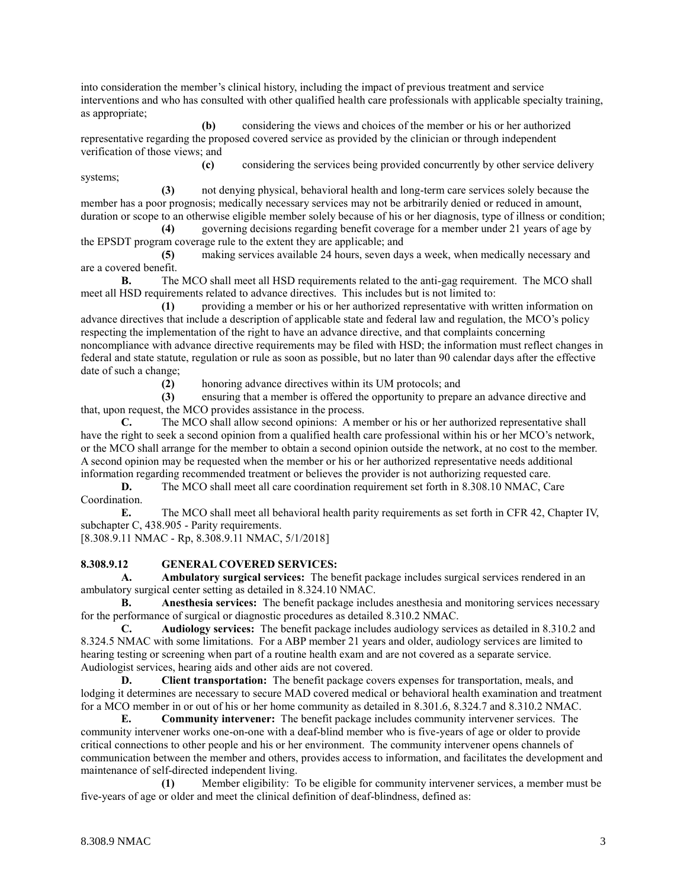into consideration the member's clinical history, including the impact of previous treatment and service interventions and who has consulted with other qualified health care professionals with applicable specialty training, as appropriate;

**(b)** considering the views and choices of the member or his or her authorized representative regarding the proposed covered service as provided by the clinician or through independent verification of those views; and

**(c)** considering the services being provided concurrently by other service delivery systems;

**(3)** not denying physical, behavioral health and long-term care services solely because the member has a poor prognosis; medically necessary services may not be arbitrarily denied or reduced in amount, duration or scope to an otherwise eligible member solely because of his or her diagnosis, type of illness or condition;

**(4)** governing decisions regarding benefit coverage for a member under 21 years of age by the EPSDT program coverage rule to the extent they are applicable; and

**(5)** making services available 24 hours, seven days a week, when medically necessary and are a covered benefit.

**B.** The MCO shall meet all HSD requirements related to the anti-gag requirement. The MCO shall meet all HSD requirements related to advance directives. This includes but is not limited to:

**(1)** providing a member or his or her authorized representative with written information on advance directives that include a description of applicable state and federal law and regulation, the MCO's policy respecting the implementation of the right to have an advance directive, and that complaints concerning noncompliance with advance directive requirements may be filed with HSD; the information must reflect changes in federal and state statute, regulation or rule as soon as possible, but no later than 90 calendar days after the effective date of such a change;

**(2)** honoring advance directives within its UM protocols; and

**(3)** ensuring that a member is offered the opportunity to prepare an advance directive and that, upon request, the MCO provides assistance in the process.

**C.** The MCO shall allow second opinions: A member or his or her authorized representative shall have the right to seek a second opinion from a qualified health care professional within his or her MCO's network, or the MCO shall arrange for the member to obtain a second opinion outside the network, at no cost to the member. A second opinion may be requested when the member or his or her authorized representative needs additional information regarding recommended treatment or believes the provider is not authorizing requested care.

**D.** The MCO shall meet all care coordination requirement set forth in 8.308.10 NMAC, Care Coordination.

**E.** The MCO shall meet all behavioral health parity requirements as set forth in CFR 42, Chapter IV, subchapter C, 438.905 - Parity requirements.

[8.308.9.11 NMAC - Rp, 8.308.9.11 NMAC, 5/1/2018]

### **8.308.9.12 GENERAL COVERED SERVICES:**

**A. Ambulatory surgical services:** The benefit package includes surgical services rendered in an ambulatory surgical center setting as detailed in 8.324.10 NMAC.

**B. Anesthesia services:** The benefit package includes anesthesia and monitoring services necessary for the performance of surgical or diagnostic procedures as detailed 8.310.2 NMAC.

**C. Audiology services:** The benefit package includes audiology services as detailed in 8.310.2 and 8.324.5 NMAC with some limitations. For a ABP member 21 years and older, audiology services are limited to hearing testing or screening when part of a routine health exam and are not covered as a separate service. Audiologist services, hearing aids and other aids are not covered.

**D. Client transportation:** The benefit package covers expenses for transportation, meals, and lodging it determines are necessary to secure MAD covered medical or behavioral health examination and treatment for a MCO member in or out of his or her home community as detailed in 8.301.6, 8.324.7 and 8.310.2 NMAC.

**E. Community intervener:** The benefit package includes community intervener services. The community intervener works one-on-one with a deaf-blind member who is five-years of age or older to provide critical connections to other people and his or her environment. The community intervener opens channels of communication between the member and others, provides access to information, and facilitates the development and maintenance of self-directed independent living.

**(1)** Member eligibility: To be eligible for community intervener services, a member must be five-years of age or older and meet the clinical definition of deaf-blindness, defined as: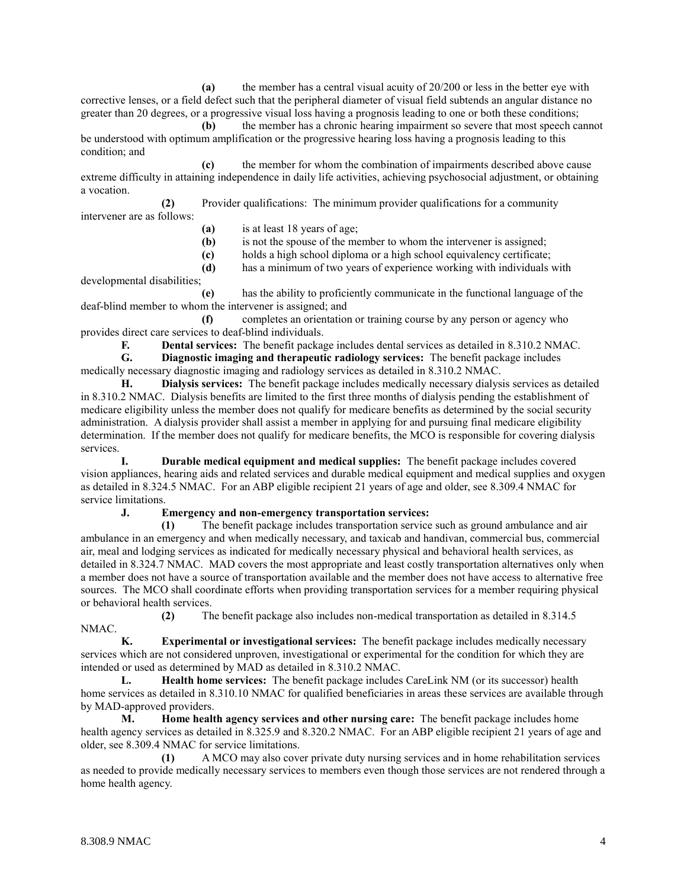**(a)** the member has a central visual acuity of 20/200 or less in the better eye with corrective lenses, or a field defect such that the peripheral diameter of visual field subtends an angular distance no greater than 20 degrees, or a progressive visual loss having a prognosis leading to one or both these conditions;

**(b)** the member has a chronic hearing impairment so severe that most speech cannot be understood with optimum amplification or the progressive hearing loss having a prognosis leading to this condition; and

**(c)** the member for whom the combination of impairments described above cause extreme difficulty in attaining independence in daily life activities, achieving psychosocial adjustment, or obtaining a vocation.

**(2)** Provider qualifications: The minimum provider qualifications for a community

- intervener are as follows:
- **(a)** is at least 18 years of age;
- **(b)** is not the spouse of the member to whom the intervener is assigned;
- **(c)** holds a high school diploma or a high school equivalency certificate;

**(d)** has a minimum of two years of experience working with individuals with developmental disabilities;

**(e)** has the ability to proficiently communicate in the functional language of the deaf-blind member to whom the intervener is assigned; and

**(f)** completes an orientation or training course by any person or agency who provides direct care services to deaf-blind individuals.

**F. Dental services:** The benefit package includes dental services as detailed in 8.310.2 NMAC.

**G. Diagnostic imaging and therapeutic radiology services:** The benefit package includes medically necessary diagnostic imaging and radiology services as detailed in 8.310.2 NMAC.

**H. Dialysis services:** The benefit package includes medically necessary dialysis services as detailed in 8.310.2 NMAC. Dialysis benefits are limited to the first three months of dialysis pending the establishment of medicare eligibility unless the member does not qualify for medicare benefits as determined by the social security administration. A dialysis provider shall assist a member in applying for and pursuing final medicare eligibility determination. If the member does not qualify for medicare benefits, the MCO is responsible for covering dialysis services.

**I. Durable medical equipment and medical supplies:** The benefit package includes covered vision appliances, hearing aids and related services and durable medical equipment and medical supplies and oxygen as detailed in 8.324.5 NMAC. For an ABP eligible recipient 21 years of age and older, see 8.309.4 NMAC for service limitations.

### **J. Emergency and non-emergency transportation services:**

**(1)** The benefit package includes transportation service such as ground ambulance and air ambulance in an emergency and when medically necessary, and taxicab and handivan, commercial bus, commercial air, meal and lodging services as indicated for medically necessary physical and behavioral health services, as detailed in 8.324.7 NMAC. MAD covers the most appropriate and least costly transportation alternatives only when a member does not have a source of transportation available and the member does not have access to alternative free sources. The MCO shall coordinate efforts when providing transportation services for a member requiring physical or behavioral health services.

**(2)** The benefit package also includes non-medical transportation as detailed in 8.314.5 NMAC.

**K. Experimental or investigational services:** The benefit package includes medically necessary services which are not considered unproven, investigational or experimental for the condition for which they are intended or used as determined by MAD as detailed in 8.310.2 NMAC.

**L. Health home services:** The benefit package includes CareLink NM (or its successor) health home services as detailed in 8.310.10 NMAC for qualified beneficiaries in areas these services are available through by MAD-approved providers.

**M. Home health agency services and other nursing care:** The benefit package includes home health agency services as detailed in 8.325.9 and 8.320.2 NMAC. For an ABP eligible recipient 21 years of age and older, see 8.309.4 NMAC for service limitations.

**(1)** A MCO may also cover private duty nursing services and in home rehabilitation services as needed to provide medically necessary services to members even though those services are not rendered through a home health agency.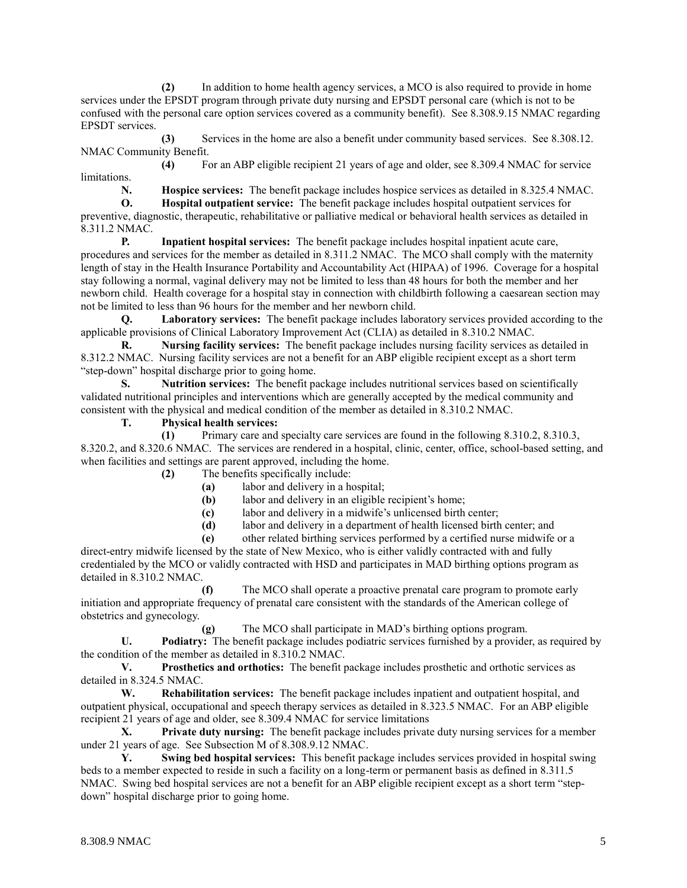**(2)** In addition to home health agency services, a MCO is also required to provide in home services under the EPSDT program through private duty nursing and EPSDT personal care (which is not to be confused with the personal care option services covered as a community benefit). See 8.308.9.15 NMAC regarding EPSDT services.

**(3)** Services in the home are also a benefit under community based services. See 8.308.12. NMAC Community Benefit.

**(4)** For an ABP eligible recipient 21 years of age and older, see 8.309.4 NMAC for service limitations.

**N. Hospice services:** The benefit package includes hospice services as detailed in 8.325.4 NMAC.

**O. Hospital outpatient service:** The benefit package includes hospital outpatient services for preventive, diagnostic, therapeutic, rehabilitative or palliative medical or behavioral health services as detailed in 8.311.2 NMAC.

**P. Inpatient hospital services:** The benefit package includes hospital inpatient acute care, procedures and services for the member as detailed in 8.311.2 NMAC. The MCO shall comply with the maternity length of stay in the Health Insurance Portability and Accountability Act (HIPAA) of 1996. Coverage for a hospital stay following a normal, vaginal delivery may not be limited to less than 48 hours for both the member and her newborn child. Health coverage for a hospital stay in connection with childbirth following a caesarean section may not be limited to less than 96 hours for the member and her newborn child.

**Q. Laboratory services:** The benefit package includes laboratory services provided according to the applicable provisions of Clinical Laboratory Improvement Act (CLIA) as detailed in 8.310.2 NMAC.

**R. Nursing facility services:** The benefit package includes nursing facility services as detailed in 8.312.2 NMAC. Nursing facility services are not a benefit for an ABP eligible recipient except as a short term "step-down" hospital discharge prior to going home.

**S. Nutrition services:** The benefit package includes nutritional services based on scientifically validated nutritional principles and interventions which are generally accepted by the medical community and consistent with the physical and medical condition of the member as detailed in 8.310.2 NMAC.

**T. Physical health services:**

**(1)** Primary care and specialty care services are found in the following 8.310.2, 8.310.3, 8.320.2, and 8.320.6 NMAC. The services are rendered in a hospital, clinic, center, office, school-based setting, and when facilities and settings are parent approved, including the home.

**(2)** The benefits specifically include:

**(a)** labor and delivery in a hospital;

**(b)** labor and delivery in an eligible recipient's home;

**(c)** labor and delivery in a midwife's unlicensed birth center;

**(d)** labor and delivery in a department of health licensed birth center; and

**(e)** other related birthing services performed by a certified nurse midwife or a

direct-entry midwife licensed by the state of New Mexico, who is either validly contracted with and fully credentialed by the MCO or validly contracted with HSD and participates in MAD birthing options program as detailed in 8.310.2 NMAC.

**(f)** The MCO shall operate a proactive prenatal care program to promote early initiation and appropriate frequency of prenatal care consistent with the standards of the American college of obstetrics and gynecology.

**(g)** The MCO shall participate in MAD's birthing options program.

**U. Podiatry:** The benefit package includes podiatric services furnished by a provider, as required by the condition of the member as detailed in 8.310.2 NMAC.

**V. Prosthetics and orthotics:** The benefit package includes prosthetic and orthotic services as detailed in 8.324.5 NMAC.

**W. Rehabilitation services:** The benefit package includes inpatient and outpatient hospital, and outpatient physical, occupational and speech therapy services as detailed in 8.323.5 NMAC. For an ABP eligible recipient 21 years of age and older, see 8.309.4 NMAC for service limitations

**X. Private duty nursing:** The benefit package includes private duty nursing services for a member under 21 years of age. See Subsection M of 8.308.9.12 NMAC.

**Y. Swing bed hospital services:** This benefit package includes services provided in hospital swing beds to a member expected to reside in such a facility on a long-term or permanent basis as defined in 8.311.5 NMAC. Swing bed hospital services are not a benefit for an ABP eligible recipient except as a short term "stepdown" hospital discharge prior to going home.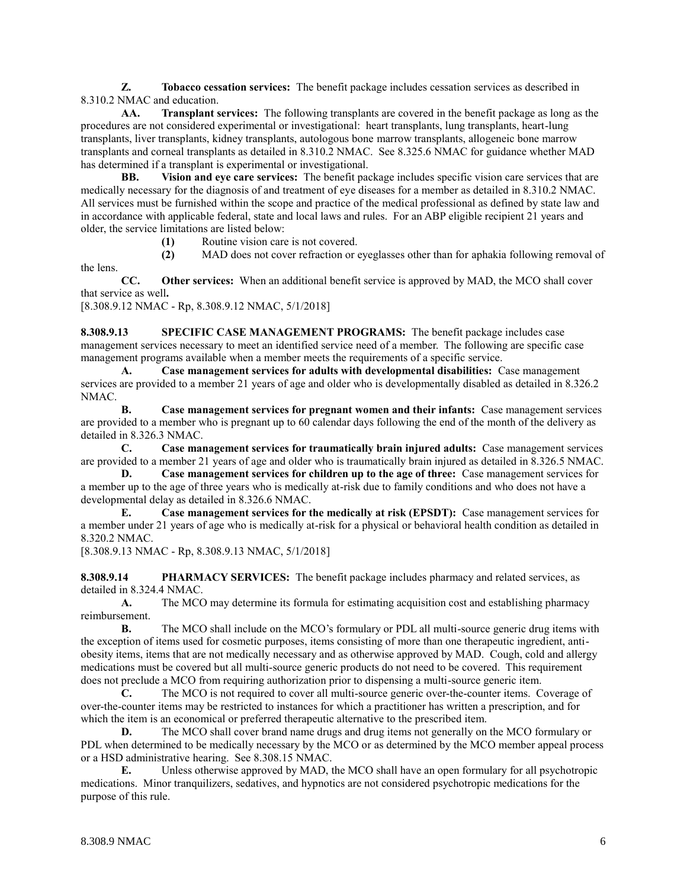**Z. Tobacco cessation services:** The benefit package includes cessation services as described in 8.310.2 NMAC and education.

**AA. Transplant services:** The following transplants are covered in the benefit package as long as the procedures are not considered experimental or investigational: heart transplants, lung transplants, heart-lung transplants, liver transplants, kidney transplants, autologous bone marrow transplants, allogeneic bone marrow transplants and corneal transplants as detailed in 8.310.2 NMAC. See 8.325.6 NMAC for guidance whether MAD has determined if a transplant is experimental or investigational.

**BB. Vision and eye care services:** The benefit package includes specific vision care services that are medically necessary for the diagnosis of and treatment of eye diseases for a member as detailed in 8.310.2 NMAC. All services must be furnished within the scope and practice of the medical professional as defined by state law and in accordance with applicable federal, state and local laws and rules. For an ABP eligible recipient 21 years and older, the service limitations are listed below:

**(1)** Routine vision care is not covered.

**(2)** MAD does not cover refraction or eyeglasses other than for aphakia following removal of

**CC. Other services:** When an additional benefit service is approved by MAD, the MCO shall cover that service as well**.**

[8.308.9.12 NMAC - Rp, 8.308.9.12 NMAC, 5/1/2018]

the lens.

**8.308.9.13 SPECIFIC CASE MANAGEMENT PROGRAMS:** The benefit package includes case management services necessary to meet an identified service need of a member. The following are specific case management programs available when a member meets the requirements of a specific service.

**A. Case management services for adults with developmental disabilities:** Case management services are provided to a member 21 years of age and older who is developmentally disabled as detailed in 8.326.2 NMAC.

**B. Case management services for pregnant women and their infants:** Case management services are provided to a member who is pregnant up to 60 calendar days following the end of the month of the delivery as detailed in 8.326.3 NMAC.

**C. Case management services for traumatically brain injured adults:** Case management services are provided to a member 21 years of age and older who is traumatically brain injured as detailed in 8.326.5 NMAC.

**D. Case management services for children up to the age of three:** Case management services for a member up to the age of three years who is medically at-risk due to family conditions and who does not have a developmental delay as detailed in 8.326.6 NMAC.

**E. Case management services for the medically at risk (EPSDT):** Case management services for a member under 21 years of age who is medically at-risk for a physical or behavioral health condition as detailed in 8.320.2 NMAC.

[8.308.9.13 NMAC - Rp, 8.308.9.13 NMAC, 5/1/2018]

**8.308.9.14 PHARMACY SERVICES:** The benefit package includes pharmacy and related services, as detailed in 8.324.4 NMAC.

**A.** The MCO may determine its formula for estimating acquisition cost and establishing pharmacy reimbursement.

**B.** The MCO shall include on the MCO's formulary or PDL all multi-source generic drug items with the exception of items used for cosmetic purposes, items consisting of more than one therapeutic ingredient, antiobesity items, items that are not medically necessary and as otherwise approved by MAD. Cough, cold and allergy medications must be covered but all multi-source generic products do not need to be covered. This requirement does not preclude a MCO from requiring authorization prior to dispensing a multi-source generic item.

**C.** The MCO is not required to cover all multi-source generic over-the-counter items. Coverage of over-the-counter items may be restricted to instances for which a practitioner has written a prescription, and for which the item is an economical or preferred therapeutic alternative to the prescribed item.

**D.** The MCO shall cover brand name drugs and drug items not generally on the MCO formulary or PDL when determined to be medically necessary by the MCO or as determined by the MCO member appeal process or a HSD administrative hearing. See 8.308.15 NMAC.

**E.** Unless otherwise approved by MAD, the MCO shall have an open formulary for all psychotropic medications. Minor tranquilizers, sedatives, and hypnotics are not considered psychotropic medications for the purpose of this rule.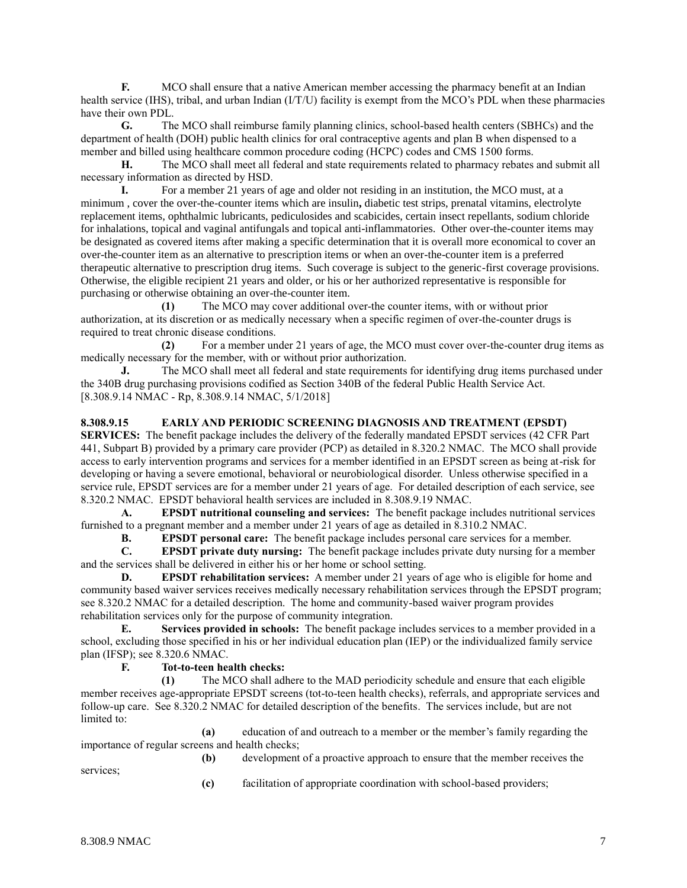**F.** MCO shall ensure that a native American member accessing the pharmacy benefit at an Indian health service (IHS), tribal, and urban Indian (I/T/U) facility is exempt from the MCO's PDL when these pharmacies have their own PDL.

**G.** The MCO shall reimburse family planning clinics, school-based health centers (SBHCs) and the department of health (DOH) public health clinics for oral contraceptive agents and plan B when dispensed to a member and billed using healthcare common procedure coding (HCPC) codes and CMS 1500 forms.

**H.** The MCO shall meet all federal and state requirements related to pharmacy rebates and submit all necessary information as directed by HSD.

**I.** For a member 21 years of age and older not residing in an institution, the MCO must, at a minimum , cover the over-the-counter items which are insulin**,** diabetic test strips, prenatal vitamins, electrolyte replacement items, ophthalmic lubricants, pediculosides and scabicides, certain insect repellants, sodium chloride for inhalations, topical and vaginal antifungals and topical anti-inflammatories. Other over-the-counter items may be designated as covered items after making a specific determination that it is overall more economical to cover an over-the-counter item as an alternative to prescription items or when an over-the-counter item is a preferred therapeutic alternative to prescription drug items. Such coverage is subject to the generic-first coverage provisions. Otherwise, the eligible recipient 21 years and older, or his or her authorized representative is responsible for purchasing or otherwise obtaining an over-the-counter item.

**(1)** The MCO may cover additional over-the counter items, with or without prior authorization, at its discretion or as medically necessary when a specific regimen of over-the-counter drugs is required to treat chronic disease conditions.

**(2)** For a member under 21 years of age, the MCO must cover over-the-counter drug items as medically necessary for the member, with or without prior authorization.

**J.** The MCO shall meet all federal and state requirements for identifying drug items purchased under the 340B drug purchasing provisions codified as Section 340B of the federal Public Health Service Act. [8.308.9.14 NMAC - Rp, 8.308.9.14 NMAC, 5/1/2018]

### **8.308.9.15 EARLY AND PERIODIC SCREENING DIAGNOSIS AND TREATMENT (EPSDT)**

**SERVICES:** The benefit package includes the delivery of the federally mandated EPSDT services (42 CFR Part 441, Subpart B) provided by a primary care provider (PCP) as detailed in 8.320.2 NMAC. The MCO shall provide access to early intervention programs and services for a member identified in an EPSDT screen as being at-risk for developing or having a severe emotional, behavioral or neurobiological disorder. Unless otherwise specified in a service rule, EPSDT services are for a member under 21 years of age. For detailed description of each service, see 8.320.2 NMAC. EPSDT behavioral health services are included in 8.308.9.19 NMAC.

**A. EPSDT nutritional counseling and services:** The benefit package includes nutritional services furnished to a pregnant member and a member under 21 years of age as detailed in 8.310.2 NMAC.

**B. EPSDT personal care:** The benefit package includes personal care services for a member.

**C. EPSDT private duty nursing:** The benefit package includes private duty nursing for a member and the services shall be delivered in either his or her home or school setting.

**D. EPSDT rehabilitation services:** A member under 21 years of age who is eligible for home and community based waiver services receives medically necessary rehabilitation services through the EPSDT program; see 8.320.2 NMAC for a detailed description. The home and community-based waiver program provides rehabilitation services only for the purpose of community integration.

**E. Services provided in schools:** The benefit package includes services to a member provided in a school, excluding those specified in his or her individual education plan (IEP) or the individualized family service plan (IFSP); see 8.320.6 NMAC.

### **F. Tot-to-teen health checks:**

**(1)** The MCO shall adhere to the MAD periodicity schedule and ensure that each eligible member receives age-appropriate EPSDT screens (tot-to-teen health checks), referrals, and appropriate services and follow-up care. See 8.320.2 NMAC for detailed description of the benefits. The services include, but are not limited to:

**(a)** education of and outreach to a member or the member's family regarding the importance of regular screens and health checks;

**(b)** development of a proactive approach to ensure that the member receives the services;

**(c)** facilitation of appropriate coordination with school-based providers;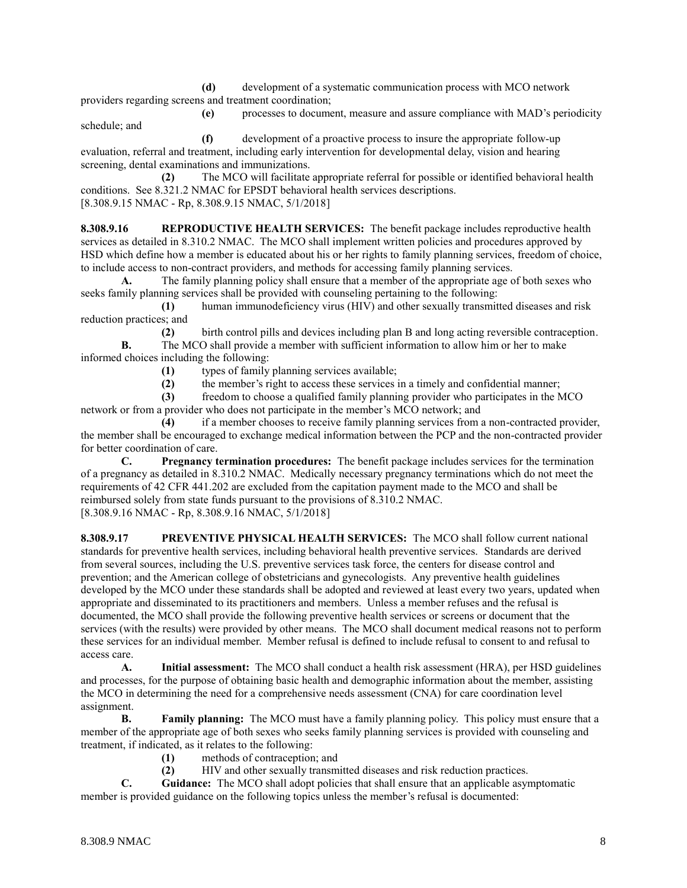**(d)** development of a systematic communication process with MCO network providers regarding screens and treatment coordination;

**(e)** processes to document, measure and assure compliance with MAD's periodicity schedule; and

**(f)** development of a proactive process to insure the appropriate follow-up evaluation, referral and treatment, including early intervention for developmental delay, vision and hearing screening, dental examinations and immunizations.

**(2)** The MCO will facilitate appropriate referral for possible or identified behavioral health conditions. See 8.321.2 NMAC for EPSDT behavioral health services descriptions. [8.308.9.15 NMAC - Rp, 8.308.9.15 NMAC, 5/1/2018]

**8.308.9.16 REPRODUCTIVE HEALTH SERVICES:** The benefit package includes reproductive health services as detailed in 8.310.2 NMAC. The MCO shall implement written policies and procedures approved by HSD which define how a member is educated about his or her rights to family planning services, freedom of choice, to include access to non-contract providers, and methods for accessing family planning services.

**A.** The family planning policy shall ensure that a member of the appropriate age of both sexes who seeks family planning services shall be provided with counseling pertaining to the following:

**(1)** human immunodeficiency virus (HIV) and other sexually transmitted diseases and risk reduction practices; and

**(2)** birth control pills and devices including plan B and long acting reversible contraception. **B.** The MCO shall provide a member with sufficient information to allow him or her to make informed choices including the following:

**(1)** types of family planning services available;

**(2)** the member's right to access these services in a timely and confidential manner;

**(3)** freedom to choose a qualified family planning provider who participates in the MCO network or from a provider who does not participate in the member's MCO network; and

**(4)** if a member chooses to receive family planning services from a non-contracted provider, the member shall be encouraged to exchange medical information between the PCP and the non-contracted provider for better coordination of care.

**C. Pregnancy termination procedures:** The benefit package includes services for the termination of a pregnancy as detailed in 8.310.2 NMAC. Medically necessary pregnancy terminations which do not meet the requirements of 42 CFR 441.202 are excluded from the capitation payment made to the MCO and shall be reimbursed solely from state funds pursuant to the provisions of 8.310.2 NMAC. [8.308.9.16 NMAC - Rp, 8.308.9.16 NMAC, 5/1/2018]

**8.308.9.17 PREVENTIVE PHYSICAL HEALTH SERVICES:** The MCO shall follow current national standards for preventive health services, including behavioral health preventive services. Standards are derived from several sources, including the U.S. preventive services task force, the centers for disease control and prevention; and the American college of obstetricians and gynecologists. Any preventive health guidelines developed by the MCO under these standards shall be adopted and reviewed at least every two years, updated when appropriate and disseminated to its practitioners and members. Unless a member refuses and the refusal is documented, the MCO shall provide the following preventive health services or screens or document that the services (with the results) were provided by other means. The MCO shall document medical reasons not to perform these services for an individual member. Member refusal is defined to include refusal to consent to and refusal to access care.

**A. Initial assessment:** The MCO shall conduct a health risk assessment (HRA), per HSD guidelines and processes, for the purpose of obtaining basic health and demographic information about the member, assisting the MCO in determining the need for a comprehensive needs assessment (CNA) for care coordination level assignment.

**B. Family planning:** The MCO must have a family planning policy. This policy must ensure that a member of the appropriate age of both sexes who seeks family planning services is provided with counseling and treatment, if indicated, as it relates to the following:

- **(1)** methods of contraception; and
- **(2)** HIV and other sexually transmitted diseases and risk reduction practices.

**C. Guidance:** The MCO shall adopt policies that shall ensure that an applicable asymptomatic member is provided guidance on the following topics unless the member's refusal is documented: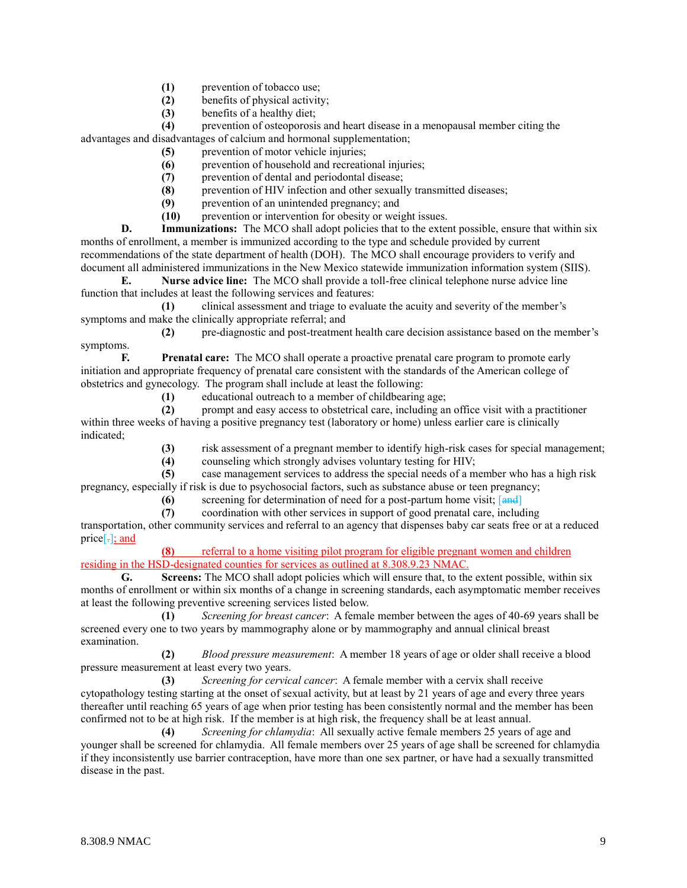- **(1)** prevention of tobacco use;
- **(2)** benefits of physical activity;
- **(3)** benefits of a healthy diet;

**(4)** prevention of osteoporosis and heart disease in a menopausal member citing the advantages and disadvantages of calcium and hormonal supplementation;

- **(5)** prevention of motor vehicle injuries;
- **(6)** prevention of household and recreational injuries;
- **(7)** prevention of dental and periodontal disease;
- **(8)** prevention of HIV infection and other sexually transmitted diseases;
- **(9)** prevention of an unintended pregnancy; and
- **(10)** prevention or intervention for obesity or weight issues.

**D. Immunizations:** The MCO shall adopt policies that to the extent possible, ensure that within six months of enrollment, a member is immunized according to the type and schedule provided by current recommendations of the state department of health (DOH). The MCO shall encourage providers to verify and document all administered immunizations in the New Mexico statewide immunization information system (SIIS).

**E. Nurse advice line:** The MCO shall provide a toll-free clinical telephone nurse advice line function that includes at least the following services and features:

**(1)** clinical assessment and triage to evaluate the acuity and severity of the member's symptoms and make the clinically appropriate referral; and

**(2)** pre-diagnostic and post-treatment health care decision assistance based on the member's symptoms.

**F. Prenatal care:** The MCO shall operate a proactive prenatal care program to promote early initiation and appropriate frequency of prenatal care consistent with the standards of the American college of obstetrics and gynecology. The program shall include at least the following:

**(1)** educational outreach to a member of childbearing age;

**(2)** prompt and easy access to obstetrical care, including an office visit with a practitioner within three weeks of having a positive pregnancy test (laboratory or home) unless earlier care is clinically indicated;

**(3)** risk assessment of a pregnant member to identify high-risk cases for special management;

**(4)** counseling which strongly advises voluntary testing for HIV;

**(5)** case management services to address the special needs of a member who has a high risk pregnancy, especially if risk is due to psychosocial factors, such as substance abuse or teen pregnancy;

**(6)** screening for determination of need for a post-partum home visit; [and]

**(7)** coordination with other services in support of good prenatal care, including transportation, other community services and referral to an agency that dispenses baby car seats free or at a reduced price $[\cdot]$ ; and

**(8)** referral to a home visiting pilot program for eligible pregnant women and children residing in the HSD-designated counties for services as outlined at 8.308.9.23 NMAC.

**G. Screens:** The MCO shall adopt policies which will ensure that, to the extent possible, within six months of enrollment or within six months of a change in screening standards, each asymptomatic member receives at least the following preventive screening services listed below.

**(1)** *Screening for breast cancer*: A female member between the ages of 40-69 years shall be screened every one to two years by mammography alone or by mammography and annual clinical breast examination.

**(2)** *Blood pressure measurement*: A member 18 years of age or older shall receive a blood pressure measurement at least every two years.

**(3)** *Screening for cervical cancer*: A female member with a cervix shall receive cytopathology testing starting at the onset of sexual activity, but at least by 21 years of age and every three years thereafter until reaching 65 years of age when prior testing has been consistently normal and the member has been confirmed not to be at high risk. If the member is at high risk, the frequency shall be at least annual.

**(4)** *Screening for chlamydia*: All sexually active female members 25 years of age and younger shall be screened for chlamydia. All female members over 25 years of age shall be screened for chlamydia if they inconsistently use barrier contraception, have more than one sex partner, or have had a sexually transmitted disease in the past.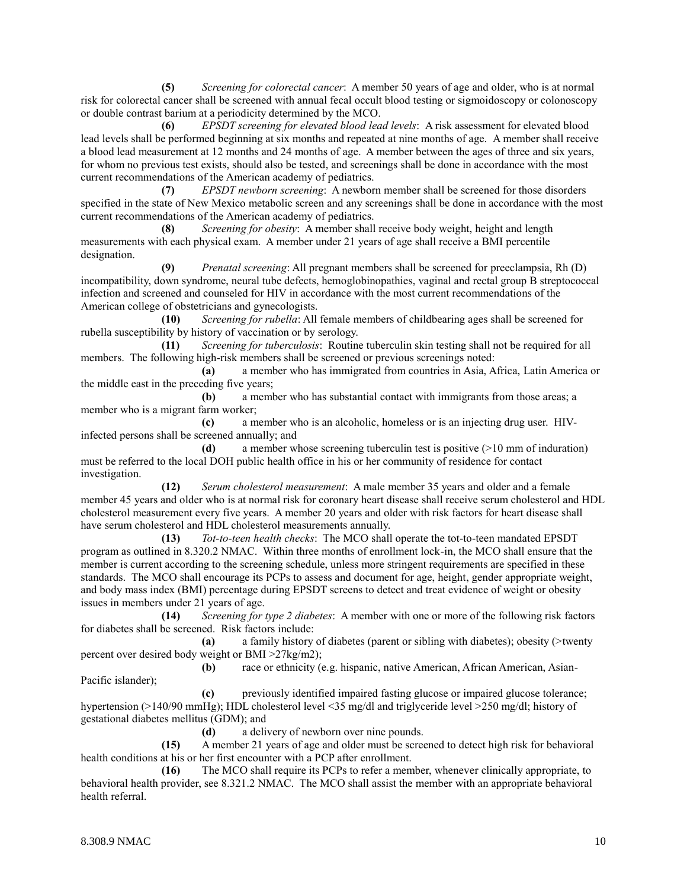**(5)** *Screening for colorectal cancer*: A member 50 years of age and older, who is at normal risk for colorectal cancer shall be screened with annual fecal occult blood testing or sigmoidoscopy or colonoscopy or double contrast barium at a periodicity determined by the MCO.

**(6)** *EPSDT screening for elevated blood lead levels*: A risk assessment for elevated blood lead levels shall be performed beginning at six months and repeated at nine months of age. A member shall receive a blood lead measurement at 12 months and 24 months of age. A member between the ages of three and six years, for whom no previous test exists, should also be tested, and screenings shall be done in accordance with the most current recommendations of the American academy of pediatrics.

**(7)** *EPSDT newborn screening*: A newborn member shall be screened for those disorders specified in the state of New Mexico metabolic screen and any screenings shall be done in accordance with the most current recommendations of the American academy of pediatrics.

**(8)** *Screening for obesity*: A member shall receive body weight, height and length measurements with each physical exam. A member under 21 years of age shall receive a BMI percentile designation.

**(9)** *Prenatal screening*: All pregnant members shall be screened for preeclampsia, Rh (D) incompatibility, down syndrome, neural tube defects, hemoglobinopathies, vaginal and rectal group B streptococcal infection and screened and counseled for HIV in accordance with the most current recommendations of the American college of obstetricians and gynecologists.

**(10)** *Screening for rubella*: All female members of childbearing ages shall be screened for rubella susceptibility by history of vaccination or by serology.

**(11)** *Screening for tuberculosis*: Routine tuberculin skin testing shall not be required for all members. The following high-risk members shall be screened or previous screenings noted:

**(a)** a member who has immigrated from countries in Asia, Africa, Latin America or the middle east in the preceding five years;

**(b)** a member who has substantial contact with immigrants from those areas; a member who is a migrant farm worker;

**(c)** a member who is an alcoholic, homeless or is an injecting drug user. HIVinfected persons shall be screened annually; and

**(d)** a member whose screening tuberculin test is positive (>10 mm of induration) must be referred to the local DOH public health office in his or her community of residence for contact investigation.

**(12)** *Serum cholesterol measurement*: A male member 35 years and older and a female member 45 years and older who is at normal risk for coronary heart disease shall receive serum cholesterol and HDL cholesterol measurement every five years. A member 20 years and older with risk factors for heart disease shall have serum cholesterol and HDL cholesterol measurements annually.

**(13)** *Tot-to-teen health checks*: The MCO shall operate the tot-to-teen mandated EPSDT program as outlined in 8.320.2 NMAC. Within three months of enrollment lock-in, the MCO shall ensure that the member is current according to the screening schedule, unless more stringent requirements are specified in these standards. The MCO shall encourage its PCPs to assess and document for age, height, gender appropriate weight, and body mass index (BMI) percentage during EPSDT screens to detect and treat evidence of weight or obesity issues in members under 21 years of age.

**(14)** *Screening for type 2 diabetes*: A member with one or more of the following risk factors for diabetes shall be screened. Risk factors include:

**(a)** a family history of diabetes (parent or sibling with diabetes); obesity (>twenty percent over desired body weight or BMI >27kg/m2);

**(b)** race or ethnicity (e.g. hispanic, native American, African American, Asian-Pacific islander);

**(c)** previously identified impaired fasting glucose or impaired glucose tolerance; hypertension (>140/90 mmHg); HDL cholesterol level <35 mg/dl and triglyceride level >250 mg/dl; history of gestational diabetes mellitus (GDM); and

**(d)** a delivery of newborn over nine pounds.

**(15)** A member 21 years of age and older must be screened to detect high risk for behavioral health conditions at his or her first encounter with a PCP after enrollment.

**(16)** The MCO shall require its PCPs to refer a member, whenever clinically appropriate, to behavioral health provider, see 8.321.2 NMAC. The MCO shall assist the member with an appropriate behavioral health referral.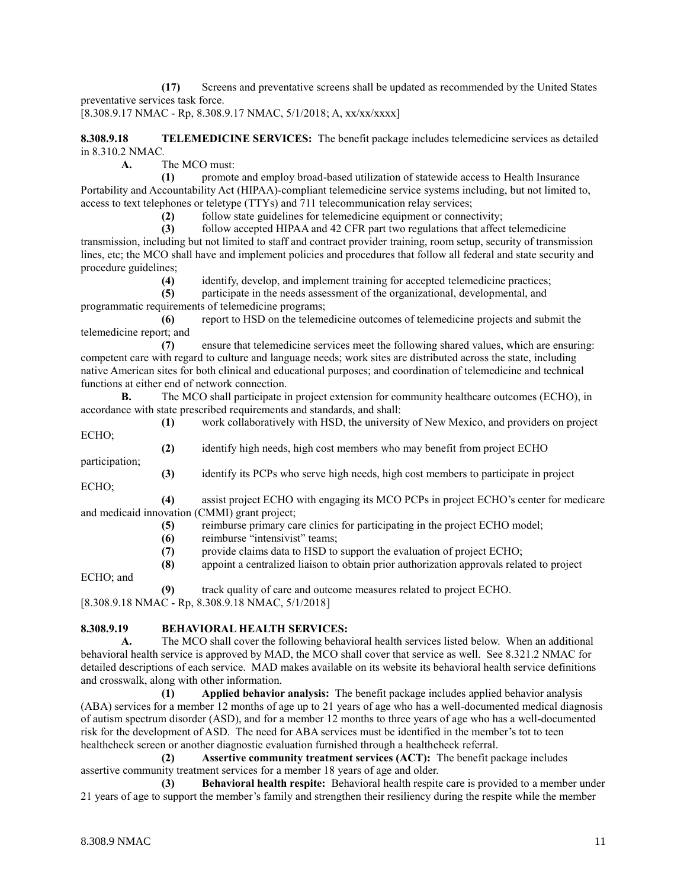**(17)** Screens and preventative screens shall be updated as recommended by the United States preventative services task force.

[8.308.9.17 NMAC - Rp, 8.308.9.17 NMAC, 5/1/2018; A, xx/xx/xxxx]

**8.308.9.18 TELEMEDICINE SERVICES:** The benefit package includes telemedicine services as detailed in 8.310.2 NMAC*.*

**A.** The MCO must:

**(1)** promote and employ broad-based utilization of statewide access to Health Insurance Portability and Accountability Act (HIPAA)-compliant telemedicine service systems including, but not limited to, access to text telephones or teletype (TTYs) and 711 telecommunication relay services;

**(2)** follow state guidelines for telemedicine equipment or connectivity;

**(3)** follow accepted HIPAA and 42 CFR part two regulations that affect telemedicine transmission, including but not limited to staff and contract provider training, room setup, security of transmission lines, etc; the MCO shall have and implement policies and procedures that follow all federal and state security and procedure guidelines;

**(4)** identify, develop, and implement training for accepted telemedicine practices;

**(5)** participate in the needs assessment of the organizational, developmental, and programmatic requirements of telemedicine programs;

**(6)** report to HSD on the telemedicine outcomes of telemedicine projects and submit the telemedicine report; and

**(7)** ensure that telemedicine services meet the following shared values, which are ensuring: competent care with regard to culture and language needs; work sites are distributed across the state, including native American sites for both clinical and educational purposes; and coordination of telemedicine and technical functions at either end of network connection.

**B.** The MCO shall participate in project extension for community healthcare outcomes (ECHO), in accordance with state prescribed requirements and standards, and shall:

**(1)** work collaboratively with HSD, the university of New Mexico, and providers on project ECHO; **(2)** identify high needs, high cost members who may benefit from project ECHO

participation;

ECHO;

**(4)** assist project ECHO with engaging its MCO PCPs in project ECHO's center for medicare and medicaid innovation (CMMI) grant project;

- **(5)** reimburse primary care clinics for participating in the project ECHO model;
- **(6)** reimburse "intensivist" teams;
- **(7)** provide claims data to HSD to support the evaluation of project ECHO;
- **(8)** appoint a centralized liaison to obtain prior authorization approvals related to project

**(3)** identify its PCPs who serve high needs, high cost members to participate in project

ECHO; and

**(9)** track quality of care and outcome measures related to project ECHO.

[8.308.9.18 NMAC - Rp, 8.308.9.18 NMAC, 5/1/2018]

# **8.308.9.19 BEHAVIORAL HEALTH SERVICES:**

**A.** The MCO shall cover the following behavioral health services listed below. When an additional behavioral health service is approved by MAD, the MCO shall cover that service as well. See 8.321.2 NMAC for detailed descriptions of each service. MAD makes available on its website its behavioral health service definitions and crosswalk, along with other information.

**(1) Applied behavior analysis:** The benefit package includes applied behavior analysis (ABA) services for a member 12 months of age up to 21 years of age who has a well-documented medical diagnosis of autism spectrum disorder (ASD), and for a member 12 months to three years of age who has a well-documented risk for the development of ASD. The need for ABA services must be identified in the member's tot to teen healthcheck screen or another diagnostic evaluation furnished through a healthcheck referral.

**(2) Assertive community treatment services (ACT):** The benefit package includes assertive community treatment services for a member 18 years of age and older.

**(3) Behavioral health respite:** Behavioral health respite care is provided to a member under 21 years of age to support the member's family and strengthen their resiliency during the respite while the member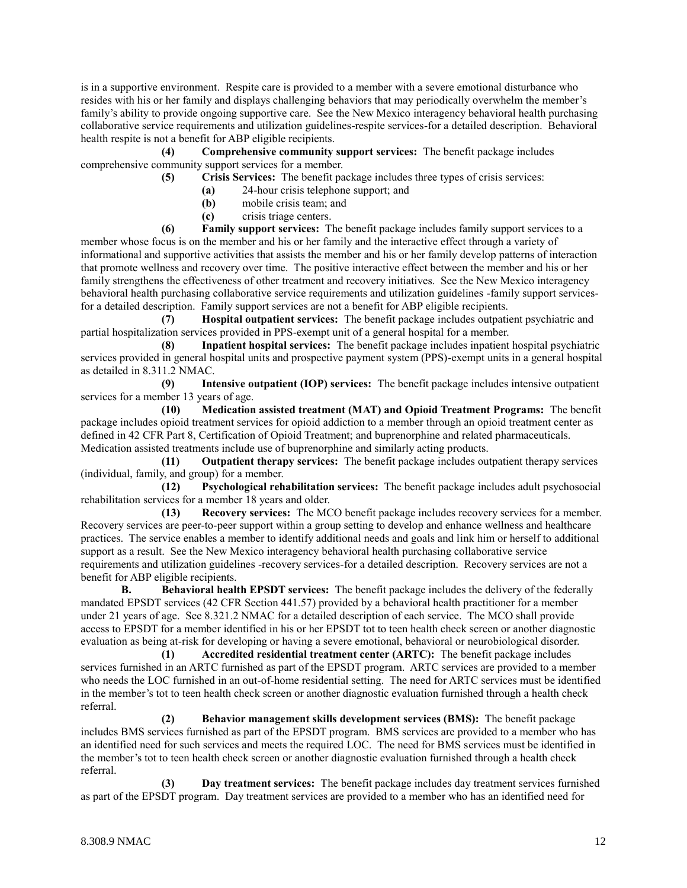is in a supportive environment. Respite care is provided to a member with a severe emotional disturbance who resides with his or her family and displays challenging behaviors that may periodically overwhelm the member's family's ability to provide ongoing supportive care. See the New Mexico interagency behavioral health purchasing collaborative service requirements and utilization guidelines-respite services-for a detailed description. Behavioral health respite is not a benefit for ABP eligible recipients.

**(4) Comprehensive community support services:** The benefit package includes comprehensive community support services for a member.

**(5) Crisis Services:** The benefit package includes three types of crisis services:

- **(a)** 24-hour crisis telephone support; and
- **(b)** mobile crisis team; and
- **(c)** crisis triage centers.

**(6) Family support services:** The benefit package includes family support services to a member whose focus is on the member and his or her family and the interactive effect through a variety of informational and supportive activities that assists the member and his or her family develop patterns of interaction that promote wellness and recovery over time. The positive interactive effect between the member and his or her family strengthens the effectiveness of other treatment and recovery initiatives. See the New Mexico interagency behavioral health purchasing collaborative service requirements and utilization guidelines -family support servicesfor a detailed description. Family support services are not a benefit for ABP eligible recipients.

**(7) Hospital outpatient services:** The benefit package includes outpatient psychiatric and partial hospitalization services provided in PPS-exempt unit of a general hospital for a member.

**(8) Inpatient hospital services:** The benefit package includes inpatient hospital psychiatric services provided in general hospital units and prospective payment system (PPS)-exempt units in a general hospital as detailed in 8.311.2 NMAC.

**(9) Intensive outpatient (IOP) services:** The benefit package includes intensive outpatient services for a member 13 years of age.

**(10) Medication assisted treatment (MAT) and Opioid Treatment Programs:** The benefit package includes opioid treatment services for opioid addiction to a member through an opioid treatment center as defined in 42 CFR Part 8, Certification of Opioid Treatment; and buprenorphine and related pharmaceuticals. Medication assisted treatments include use of buprenorphine and similarly acting products.

**(11) Outpatient therapy services:** The benefit package includes outpatient therapy services (individual, family, and group) for a member.<br>(12) Psychological reh

**(12) Psychological rehabilitation services:** The benefit package includes adult psychosocial rehabilitation services for a member 18 years and older.

**(13) Recovery services:** The MCO benefit package includes recovery services for a member. Recovery services are peer-to-peer support within a group setting to develop and enhance wellness and healthcare practices. The service enables a member to identify additional needs and goals and link him or herself to additional support as a result. See the New Mexico interagency behavioral health purchasing collaborative service requirements and utilization guidelines -recovery services-for a detailed description. Recovery services are not a benefit for ABP eligible recipients.

**B. Behavioral health EPSDT services:** The benefit package includes the delivery of the federally mandated EPSDT services (42 CFR Section 441.57) provided by a behavioral health practitioner for a member under 21 years of age. See 8.321.2 NMAC for a detailed description of each service. The MCO shall provide access to EPSDT for a member identified in his or her EPSDT tot to teen health check screen or another diagnostic evaluation as being at-risk for developing or having a severe emotional, behavioral or neurobiological disorder.

**(1) Accredited residential treatment center (ARTC):** The benefit package includes services furnished in an ARTC furnished as part of the EPSDT program. ARTC services are provided to a member who needs the LOC furnished in an out-of-home residential setting. The need for ARTC services must be identified in the member's tot to teen health check screen or another diagnostic evaluation furnished through a health check referral.

**(2) Behavior management skills development services (BMS):** The benefit package includes BMS services furnished as part of the EPSDT program. BMS services are provided to a member who has an identified need for such services and meets the required LOC. The need for BMS services must be identified in the member's tot to teen health check screen or another diagnostic evaluation furnished through a health check referral.

**(3) Day treatment services:** The benefit package includes day treatment services furnished as part of the EPSDT program. Day treatment services are provided to a member who has an identified need for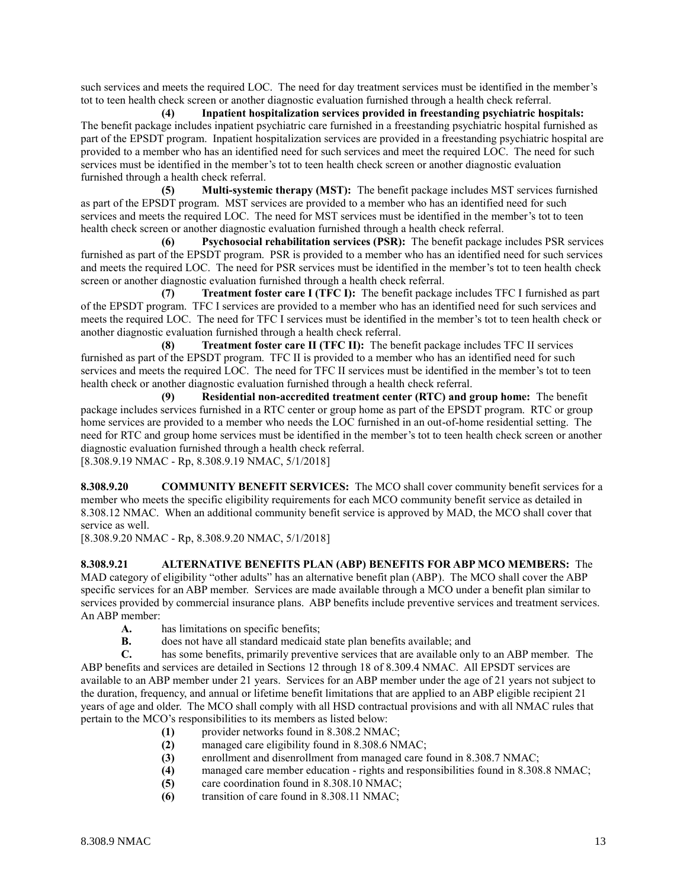such services and meets the required LOC. The need for day treatment services must be identified in the member's tot to teen health check screen or another diagnostic evaluation furnished through a health check referral.

**(4) Inpatient hospitalization services provided in freestanding psychiatric hospitals:** The benefit package includes inpatient psychiatric care furnished in a freestanding psychiatric hospital furnished as part of the EPSDT program. Inpatient hospitalization services are provided in a freestanding psychiatric hospital are provided to a member who has an identified need for such services and meet the required LOC. The need for such services must be identified in the member's tot to teen health check screen or another diagnostic evaluation furnished through a health check referral.

**(5) Multi-systemic therapy (MST):** The benefit package includes MST services furnished as part of the EPSDT program. MST services are provided to a member who has an identified need for such services and meets the required LOC. The need for MST services must be identified in the member's tot to teen health check screen or another diagnostic evaluation furnished through a health check referral.

**(6) Psychosocial rehabilitation services (PSR):** The benefit package includes PSR services furnished as part of the EPSDT program. PSR is provided to a member who has an identified need for such services and meets the required LOC. The need for PSR services must be identified in the member's tot to teen health check screen or another diagnostic evaluation furnished through a health check referral.

**(7) Treatment foster care I (TFC I):** The benefit package includes TFC I furnished as part of the EPSDT program. TFC I services are provided to a member who has an identified need for such services and meets the required LOC. The need for TFC I services must be identified in the member's tot to teen health check or another diagnostic evaluation furnished through a health check referral.

**(8) Treatment foster care II (TFC II):** The benefit package includes TFC II services furnished as part of the EPSDT program. TFC II is provided to a member who has an identified need for such services and meets the required LOC. The need for TFC II services must be identified in the member's tot to teen health check or another diagnostic evaluation furnished through a health check referral.

**(9) Residential non-accredited treatment center (RTC) and group home:** The benefit package includes services furnished in a RTC center or group home as part of the EPSDT program. RTC or group home services are provided to a member who needs the LOC furnished in an out-of-home residential setting. The need for RTC and group home services must be identified in the member's tot to teen health check screen or another diagnostic evaluation furnished through a health check referral.

[8.308.9.19 NMAC - Rp, 8.308.9.19 NMAC, 5/1/2018]

**8.308.9.20 COMMUNITY BENEFIT SERVICES:** The MCO shall cover community benefit services for a member who meets the specific eligibility requirements for each MCO community benefit service as detailed in 8.308.12 NMAC. When an additional community benefit service is approved by MAD, the MCO shall cover that service as well.

[8.308.9.20 NMAC - Rp, 8.308.9.20 NMAC, 5/1/2018]

**8.308.9.21 ALTERNATIVE BENEFITS PLAN (ABP) BENEFITS FOR ABP MCO MEMBERS:** The MAD category of eligibility "other adults" has an alternative benefit plan (ABP). The MCO shall cover the ABP specific services for an ABP member. Services are made available through a MCO under a benefit plan similar to services provided by commercial insurance plans. ABP benefits include preventive services and treatment services. An ABP member:

- **A.** has limitations on specific benefits;<br>**B.** does not have all standard medicaid
- **B.** does not have all standard medicaid state plan benefits available; and

**C.** has some benefits, primarily preventive services that are available only to an ABP member. The ABP benefits and services are detailed in Sections 12 through 18 of 8.309.4 NMAC. All EPSDT services are available to an ABP member under 21 years. Services for an ABP member under the age of 21 years not subject to the duration, frequency, and annual or lifetime benefit limitations that are applied to an ABP eligible recipient 21 years of age and older. The MCO shall comply with all HSD contractual provisions and with all NMAC rules that pertain to the MCO's responsibilities to its members as listed below:

- **(1)** provider networks found in 8.308.2 NMAC;
- **(2)** managed care eligibility found in 8.308.6 NMAC;
- **(3)** enrollment and disenrollment from managed care found in 8.308.7 NMAC;
- **(4)** managed care member education rights and responsibilities found in 8.308.8 NMAC;
- **(5)** care coordination found in 8.308.10 NMAC;
- **(6)** transition of care found in 8.308.11 NMAC;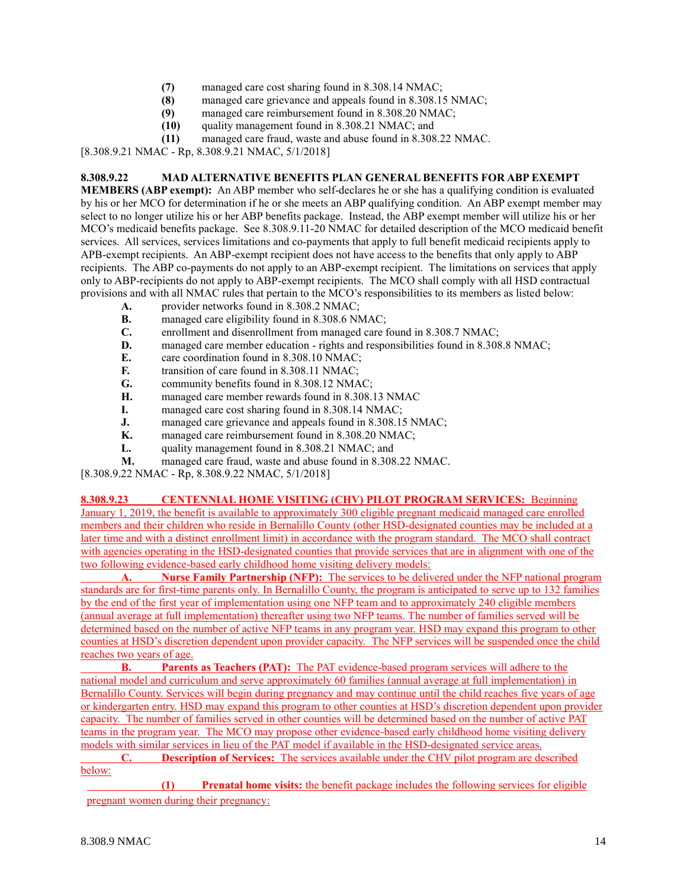- **(7)** managed care cost sharing found in 8.308.14 NMAC;
- managed care grievance and appeals found in 8.308.15 NMAC;
- **(9)** managed care reimbursement found in 8.308.20 NMAC;
- **(10)** quality management found in 8.308.21 NMAC; and
- **(11)** managed care fraud, waste and abuse found in 8.308.22 NMAC.

[8.308.9.21 NMAC - Rp, 8.308.9.21 NMAC, 5/1/2018]

#### **8.308.9.22 MAD ALTERNATIVE BENEFITS PLAN GENERAL BENEFITS FOR ABP EXEMPT**

**MEMBERS (ABP exempt):** An ABP member who self-declares he or she has a qualifying condition is evaluated by his or her MCO for determination if he or she meets an ABP qualifying condition. An ABP exempt member may select to no longer utilize his or her ABP benefits package. Instead, the ABP exempt member will utilize his or her MCO's medicaid benefits package. See 8.308.9.11-20 NMAC for detailed description of the MCO medicaid benefit services. All services, services limitations and co-payments that apply to full benefit medicaid recipients apply to APB-exempt recipients. An ABP-exempt recipient does not have access to the benefits that only apply to ABP recipients. The ABP co-payments do not apply to an ABP-exempt recipient. The limitations on services that apply only to ABP-recipients do not apply to ABP-exempt recipients. The MCO shall comply with all HSD contractual provisions and with all NMAC rules that pertain to the MCO's responsibilities to its members as listed below:

- **A.** provider networks found in 8.308.2 NMAC;
- **B.** managed care eligibility found in 8.308.6 NMAC;
- **C.** enrollment and disenrollment from managed care found in 8.308.7 NMAC;<br>**D.** managed care member education rights and responsibilities found in 8.308
- managed care member education rights and responsibilities found in 8.308.8 NMAC;
- **E.** care coordination found in 8.308.10 NMAC;
- **F.** transition of care found in 8.308.11 NMAC;
- **G.** community benefits found in 8.308.12 NMAC;
- **H.** managed care member rewards found in 8.308.13 NMAC
- **I.** managed care cost sharing found in 8.308.14 NMAC;
- **J.** managed care grievance and appeals found in 8.308.15 NMAC;
- **K.** managed care reimbursement found in 8.308.20 NMAC;
- **L.** quality management found in 8.308.21 NMAC; and
- **M.** managed care fraud, waste and abuse found in 8.308.22 NMAC.

[8.308.9.22 NMAC - Rp, 8.308.9.22 NMAC, 5/1/2018]

**8.308.9.23 CENTENNIAL HOME VISITING (CHV) PILOT PROGRAM SERVICES:** Beginning January 1, 2019, the benefit is available to approximately 300 eligible pregnant medicaid managed care enrolled members and their children who reside in Bernalillo County (other HSD-designated counties may be included at a later time and with a distinct enrollment limit) in accordance with the program standard. The MCO shall contract

with agencies operating in the HSD-designated counties that provide services that are in alignment with one of the two following evidence-based early childhood home visiting delivery models:

**A. Nurse Family Partnership (NFP):** The services to be delivered under the NFP national program standards are for first-time parents only. In Bernalillo County, the program is anticipated to serve up to 132 families by the end of the first year of implementation using one NFP team and to approximately 240 eligible members (annual average at full implementation) thereafter using two NFP teams. The number of families served will be determined based on the number of active NFP teams in any program year. HSD may expand this program to other counties at HSD's discretion dependent upon provider capacity. The NFP services will be suspended once the child reaches two years of age.

**B. Parents as Teachers (PAT):** The PAT evidence-based program services will adhere to the national model and curriculum and serve approximately 60 families (annual average at full implementation) in Bernalillo County. Services will begin during pregnancy and may continue until the child reaches five years of age or kindergarten entry. HSD may expand this program to other counties at HSD's discretion dependent upon provider capacity. The number of families served in other counties will be determined based on the number of active PAT teams in the program year. The MCO may propose other evidence-based early childhood home visiting delivery models with similar services in lieu of the PAT model if available in the HSD-designated service areas.

**C. Description of Services:** The services available under the CHV pilot program are described below:

**(1) Prenatal home visits:** the benefit package includes the following services for eligible pregnant women during their pregnancy: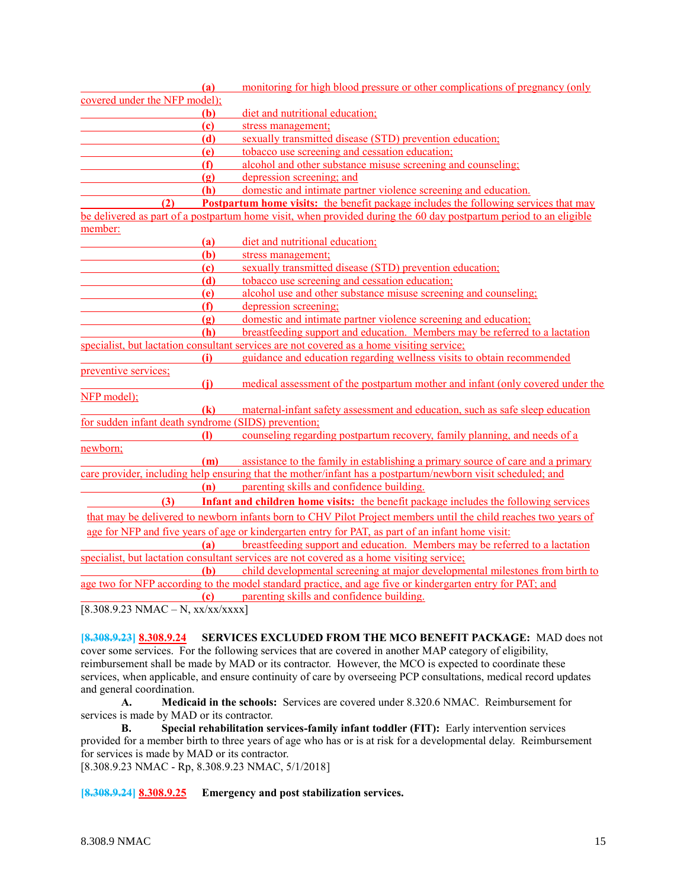| (a)                                                 | monitoring for high blood pressure or other complications of pregnancy (only                                      |
|-----------------------------------------------------|-------------------------------------------------------------------------------------------------------------------|
| covered under the NFP model);                       |                                                                                                                   |
| (b)                                                 | diet and nutritional education;                                                                                   |
| $\left( \mathbf{c} \right)$                         | stress management;                                                                                                |
| (d)                                                 | sexually transmitted disease (STD) prevention education;                                                          |
| (e)                                                 | tobacco use screening and cessation education;                                                                    |
| (f)                                                 | alcohol and other substance misuse screening and counseling;                                                      |
| (2)                                                 | depression screening; and                                                                                         |
| (h)                                                 | domestic and intimate partner violence screening and education.                                                   |
| (2)                                                 | <b>Postpartum home visits:</b> the benefit package includes the following services that may                       |
|                                                     | be delivered as part of a postpartum home visit, when provided during the 60 day postpartum period to an eligible |
| member:                                             |                                                                                                                   |
| (a)                                                 | diet and nutritional education;                                                                                   |
| (b)                                                 | stress management;                                                                                                |
| (c)                                                 | sexually transmitted disease (STD) prevention education;                                                          |
| (d)                                                 | tobacco use screening and cessation education;                                                                    |
| (e)                                                 | alcohol use and other substance misuse screening and counseling;                                                  |
| (f)                                                 | depression screening;                                                                                             |
| $\left( \mathbf{g} \right)$                         | domestic and intimate partner violence screening and education;                                                   |
| <b>(h)</b>                                          | breastfeeding support and education. Members may be referred to a lactation                                       |
|                                                     | specialist, but lactation consultant services are not covered as a home visiting service;                         |
| (i)                                                 | guidance and education regarding wellness visits to obtain recommended                                            |
| preventive services;                                |                                                                                                                   |
| (i)                                                 | medical assessment of the postpartum mother and infant (only covered under the                                    |
| NFP model);                                         |                                                                                                                   |
| $\left( \mathbf{k}\right)$                          | maternal-infant safety assessment and education, such as safe sleep education                                     |
| for sudden infant death syndrome (SIDS) prevention; |                                                                                                                   |
| $\mathbf{D}$                                        | counseling regarding postpartum recovery, family planning, and needs of a                                         |
| newborn;                                            |                                                                                                                   |
| (m)                                                 | assistance to the family in establishing a primary source of care and a primary                                   |
|                                                     | care provider, including help ensuring that the mother/infant has a postpartum/newborn visit scheduled; and       |
|                                                     | (n) parenting skills and confidence building.                                                                     |
| (3)                                                 | <b>Infant and children home visits:</b> the benefit package includes the following services                       |
|                                                     | that may be delivered to newborn infants born to CHV Pilot Project members until the child reaches two years of   |
|                                                     | age for NFP and five years of age or kindergarten entry for PAT, as part of an infant home visit:                 |
| (a)                                                 | breastfeeding support and education. Members may be referred to a lactation                                       |
|                                                     | specialist, but lactation consultant services are not covered as a home visiting service;                         |
| <b>(b)</b>                                          | child developmental screening at major developmental milestones from birth to                                     |
|                                                     | age two for NFP according to the model standard practice, and age five or kindergarten entry for PAT; and         |
| (c)                                                 | parenting skills and confidence building.                                                                         |
| $[8.308.9.23 NMAC - N, xx/xx/xxx]$                  |                                                                                                                   |

**[8.308.9.23] 8.308.9.24 SERVICES EXCLUDED FROM THE MCO BENEFIT PACKAGE:** MAD does not cover some services. For the following services that are covered in another MAP category of eligibility, reimbursement shall be made by MAD or its contractor. However, the MCO is expected to coordinate these services, when applicable, and ensure continuity of care by overseeing PCP consultations, medical record updates and general coordination.

**A. Medicaid in the schools:** Services are covered under 8.320.6 NMAC. Reimbursement for services is made by MAD or its contractor.

**B. Special rehabilitation services-family infant toddler (FIT):** Early intervention services provided for a member birth to three years of age who has or is at risk for a developmental delay. Reimbursement for services is made by MAD or its contractor.

[8.308.9.23 NMAC - Rp, 8.308.9.23 NMAC, 5/1/2018]

**[8.308.9.24] 8.308.9.25 Emergency and post stabilization services.**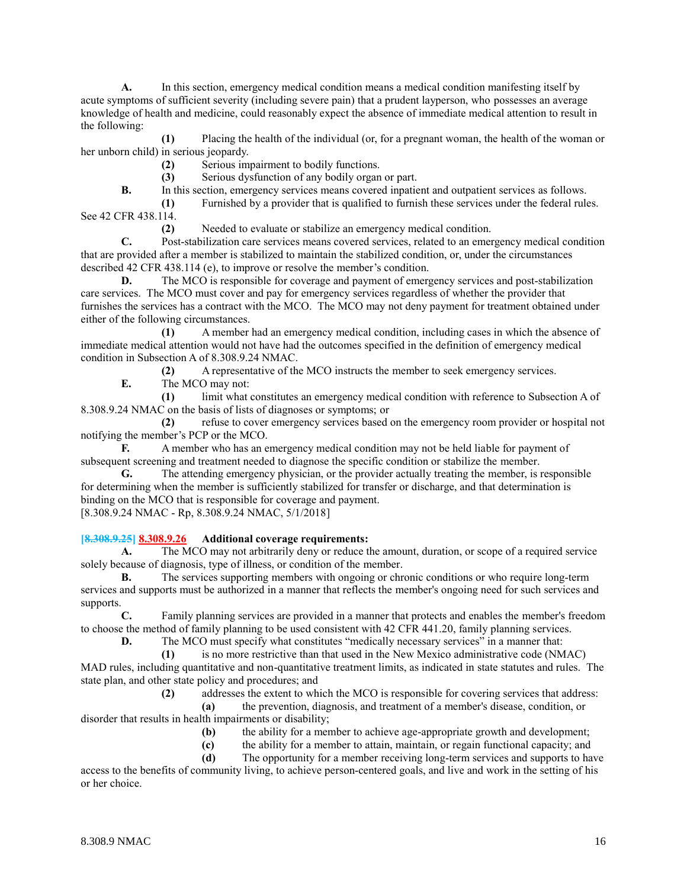**A.** In this section, emergency medical condition means a medical condition manifesting itself by acute symptoms of sufficient severity (including severe pain) that a prudent layperson, who possesses an average knowledge of health and medicine, could reasonably expect the absence of immediate medical attention to result in the following:

**(1)** Placing the health of the individual (or, for a pregnant woman, the health of the woman or her unborn child) in serious jeopardy.

**(2)** Serious impairment to bodily functions.

**(3)** Serious dysfunction of any bodily organ or part.

**B.** In this section, emergency services means covered inpatient and outpatient services as follows.

**(1)** Furnished by a provider that is qualified to furnish these services under the federal rules. See 42 CFR 438.114.

**(2)** Needed to evaluate or stabilize an emergency medical condition.

**C.** Post-stabilization care services means covered services, related to an emergency medical condition that are provided after a member is stabilized to maintain the stabilized condition, or, under the circumstances described 42 CFR 438.114 (e), to improve or resolve the member's condition.

**D.** The MCO is responsible for coverage and payment of emergency services and post-stabilization care services. The MCO must cover and pay for emergency services regardless of whether the provider that furnishes the services has a contract with the MCO. The MCO may not deny payment for treatment obtained under either of the following circumstances.

**(1)** A member had an emergency medical condition, including cases in which the absence of immediate medical attention would not have had the outcomes specified in the definition of emergency medical condition in Subsection A of 8.308.9.24 NMAC.

**(2)** A representative of the MCO instructs the member to seek emergency services.

**E.** The MCO may not:

**(1)** limit what constitutes an emergency medical condition with reference to Subsection A of 8.308.9.24 NMAC on the basis of lists of diagnoses or symptoms; or

**(2)** refuse to cover emergency services based on the emergency room provider or hospital not notifying the member's PCP or the MCO.

**F.** A member who has an emergency medical condition may not be held liable for payment of subsequent screening and treatment needed to diagnose the specific condition or stabilize the member.

**G.** The attending emergency physician, or the provider actually treating the member, is responsible for determining when the member is sufficiently stabilized for transfer or discharge, and that determination is binding on the MCO that is responsible for coverage and payment. [8.308.9.24 NMAC - Rp, 8.308.9.24 NMAC, 5/1/2018]

**[8.308.9.25] 8.308.9.26 Additional coverage requirements:**

**A.** The MCO may not arbitrarily deny or reduce the amount, duration, or scope of a required service solely because of diagnosis, type of illness, or condition of the member.

**B.** The services supporting members with ongoing or chronic conditions or who require long-term services and supports must be authorized in a manner that reflects the member's ongoing need for such services and supports.

**C.** Family planning services are provided in a manner that protects and enables the member's freedom to choose the method of family planning to be used consistent with 42 CFR 441.20, family planning services.

**D.** The MCO must specify what constitutes "medically necessary services" in a manner that:

**(1)** is no more restrictive than that used in the New Mexico administrative code (NMAC) MAD rules, including quantitative and non-quantitative treatment limits, as indicated in state statutes and rules. The state plan, and other state policy and procedures; and

**(2)** addresses the extent to which the MCO is responsible for covering services that address:

**(a)** the prevention, diagnosis, and treatment of a member's disease, condition, or disorder that results in health impairments or disability;

- **(b)** the ability for a member to achieve age-appropriate growth and development;
- **(c)** the ability for a member to attain, maintain, or regain functional capacity; and
- **(d)** The opportunity for a member receiving long-term services and supports to have

access to the benefits of community living, to achieve person-centered goals, and live and work in the setting of his or her choice.